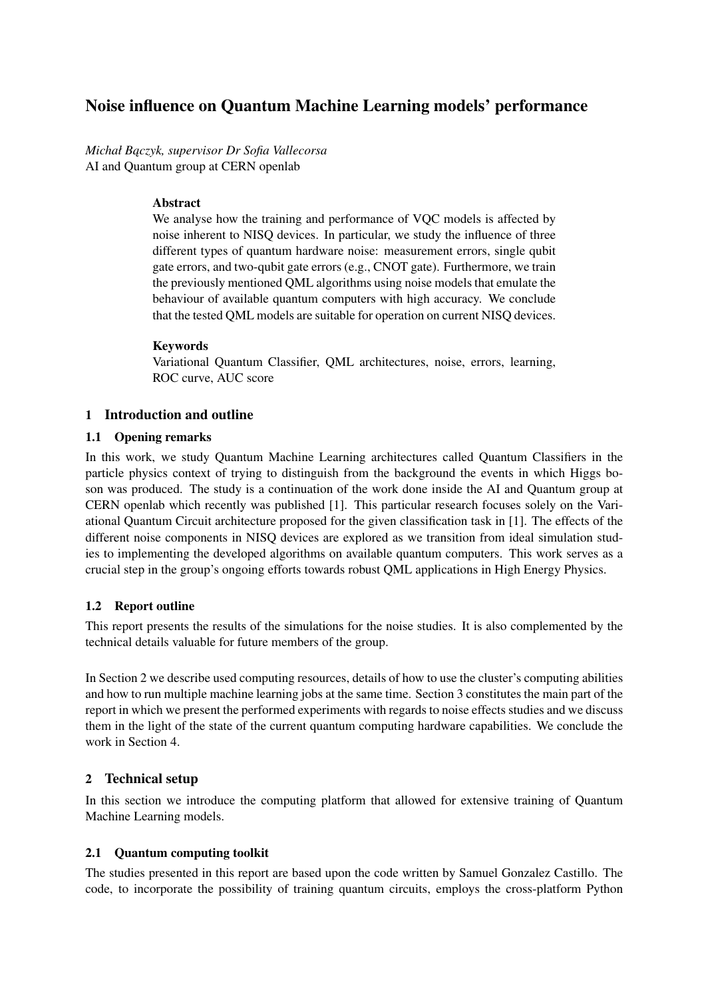# Noise influence on Quantum Machine Learning models' performance

*Michał B ˛aczyk, supervisor Dr Sofia Vallecorsa* AI and Quantum group at CERN openlab

## Abstract

We analyse how the training and performance of VOC models is affected by noise inherent to NISQ devices. In particular, we study the influence of three different types of quantum hardware noise: measurement errors, single qubit gate errors, and two-qubit gate errors (e.g., CNOT gate). Furthermore, we train the previously mentioned QML algorithms using noise models that emulate the behaviour of available quantum computers with high accuracy. We conclude that the tested QML models are suitable for operation on current NISQ devices.

## Keywords

Variational Quantum Classifier, QML architectures, noise, errors, learning, ROC curve, AUC score

# 1 Introduction and outline

## 1.1 Opening remarks

In this work, we study Quantum Machine Learning architectures called Quantum Classifiers in the particle physics context of trying to distinguish from the background the events in which Higgs boson was produced. The study is a continuation of the work done inside the AI and Quantum group at CERN openlab which recently was published [1]. This particular research focuses solely on the Variational Quantum Circuit architecture proposed for the given classification task in [1]. The effects of the different noise components in NISQ devices are explored as we transition from ideal simulation studies to implementing the developed algorithms on available quantum computers. This work serves as a crucial step in the group's ongoing efforts towards robust QML applications in High Energy Physics.

# 1.2 Report outline

This report presents the results of the simulations for the noise studies. It is also complemented by the technical details valuable for future members of the group.

In Section 2 we describe used computing resources, details of how to use the cluster's computing abilities and how to run multiple machine learning jobs at the same time. Section 3 constitutes the main part of the report in which we present the performed experiments with regards to noise effects studies and we discuss them in the light of the state of the current quantum computing hardware capabilities. We conclude the work in Section 4.

# 2 Technical setup

In this section we introduce the computing platform that allowed for extensive training of Quantum Machine Learning models.

### 2.1 Quantum computing toolkit

The studies presented in this report are based upon the code written by Samuel Gonzalez Castillo. The code, to incorporate the possibility of training quantum circuits, employs the cross-platform Python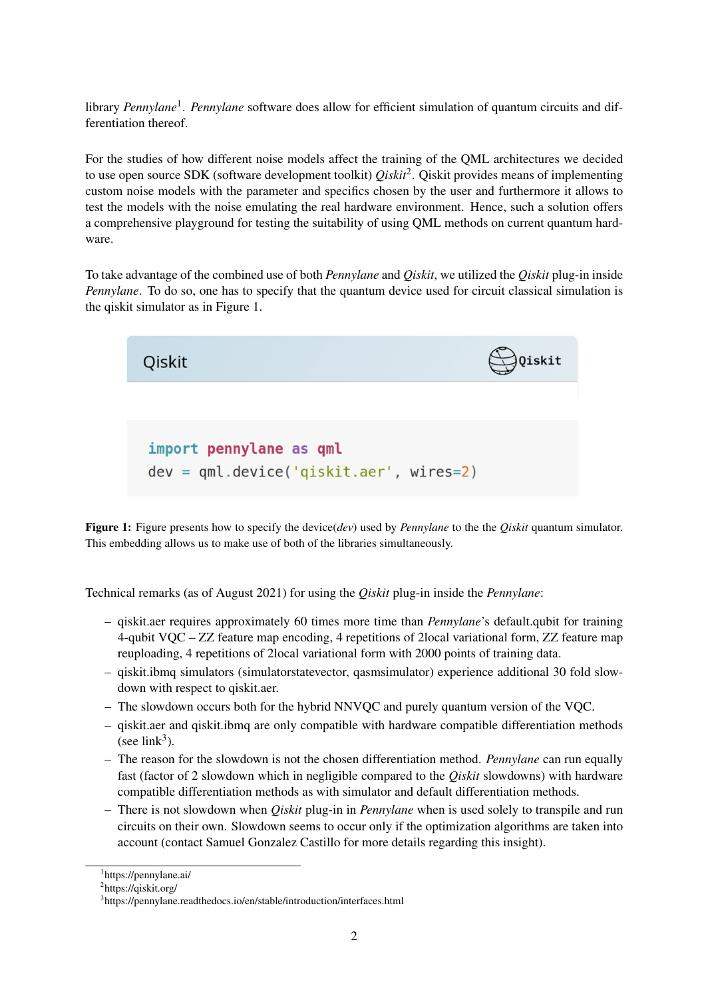library *Pennylane*<sup>1</sup>. *Pennylane* software does allow for efficient simulation of quantum circuits and differentiation thereof.

For the studies of how different noise models affect the training of the QML architectures we decided to use open source SDK (software development toolkit) *Qiskit*<sup>2</sup> . Qiskit provides means of implementing custom noise models with the parameter and specifics chosen by the user and furthermore it allows to test the models with the noise emulating the real hardware environment. Hence, such a solution offers a comprehensive playground for testing the suitability of using QML methods on current quantum hardware.

To take advantage of the combined use of both *Pennylane* and *Qiskit*, we utilized the *Qiskit* plug-in inside *Pennylane*. To do so, one has to specify that the quantum device used for circuit classical simulation is the qiskit simulator as in Figure 1.

 $\bigcup$ Qiskit **Oiskit** import pennylane as qml  $dev = qm1. device('qiskit. aer', wires=2)$ 

Figure 1: Figure presents how to specify the device(*dev*) used by *Pennylane* to the the *Qiskit* quantum simulator. This embedding allows us to make use of both of the libraries simultaneously.

Technical remarks (as of August 2021) for using the *Qiskit* plug-in inside the *Pennylane*:

- qiskit.aer requires approximately 60 times more time than *Pennylane*'s default.qubit for training 4-qubit VQC – ZZ feature map encoding, 4 repetitions of 2local variational form, ZZ feature map reuploading, 4 repetitions of 2local variational form with 2000 points of training data.
- qiskit.ibmq simulators (simulatorstatevector, qasmsimulator) experience additional 30 fold slowdown with respect to qiskit.aer.
- The slowdown occurs both for the hybrid NNVQC and purely quantum version of the VQC.
- qiskit.aer and qiskit.ibmq are only compatible with hardware compatible differentiation methods (see  $link<sup>3</sup>$ ).
- The reason for the slowdown is not the chosen differentiation method. *Pennylane* can run equally fast (factor of 2 slowdown which in negligible compared to the *Qiskit* slowdowns) with hardware compatible differentiation methods as with simulator and default differentiation methods.
- There is not slowdown when *Qiskit* plug-in in *Pennylane* when is used solely to transpile and run circuits on their own. Slowdown seems to occur only if the optimization algorithms are taken into account (contact Samuel Gonzalez Castillo for more details regarding this insight).

<sup>1</sup> https://pennylane.ai/

<sup>&</sup>lt;sup>2</sup>https://qiskit.org/

<sup>3</sup> https://pennylane.readthedocs.io/en/stable/introduction/interfaces.html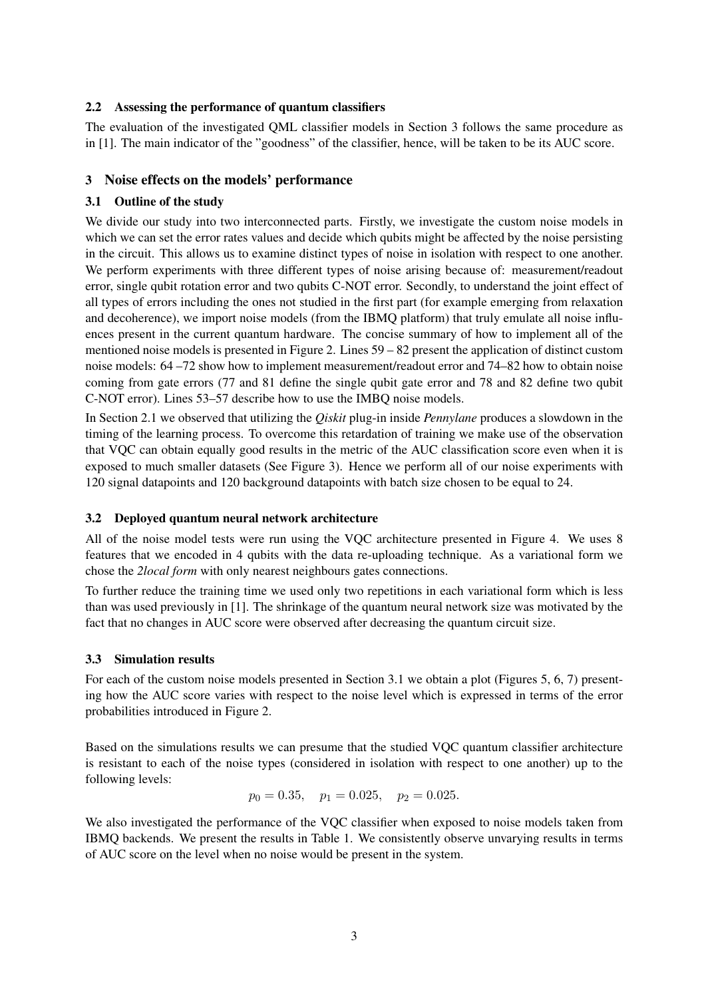### 2.2 Assessing the performance of quantum classifiers

The evaluation of the investigated QML classifier models in Section 3 follows the same procedure as in [1]. The main indicator of the "goodness" of the classifier, hence, will be taken to be its AUC score.

### 3 Noise effects on the models' performance

#### 3.1 Outline of the study

We divide our study into two interconnected parts. Firstly, we investigate the custom noise models in which we can set the error rates values and decide which qubits might be affected by the noise persisting in the circuit. This allows us to examine distinct types of noise in isolation with respect to one another. We perform experiments with three different types of noise arising because of: measurement/readout error, single qubit rotation error and two qubits C-NOT error. Secondly, to understand the joint effect of all types of errors including the ones not studied in the first part (for example emerging from relaxation and decoherence), we import noise models (from the IBMQ platform) that truly emulate all noise influences present in the current quantum hardware. The concise summary of how to implement all of the mentioned noise models is presented in Figure 2. Lines 59 – 82 present the application of distinct custom noise models: 64 –72 show how to implement measurement/readout error and 74–82 how to obtain noise coming from gate errors (77 and 81 define the single qubit gate error and 78 and 82 define two qubit C-NOT error). Lines 53–57 describe how to use the IMBQ noise models.

In Section 2.1 we observed that utilizing the *Qiskit* plug-in inside *Pennylane* produces a slowdown in the timing of the learning process. To overcome this retardation of training we make use of the observation that VQC can obtain equally good results in the metric of the AUC classification score even when it is exposed to much smaller datasets (See Figure 3). Hence we perform all of our noise experiments with 120 signal datapoints and 120 background datapoints with batch size chosen to be equal to 24.

#### 3.2 Deployed quantum neural network architecture

All of the noise model tests were run using the VQC architecture presented in Figure 4. We uses 8 features that we encoded in 4 qubits with the data re-uploading technique. As a variational form we chose the *2local form* with only nearest neighbours gates connections.

To further reduce the training time we used only two repetitions in each variational form which is less than was used previously in [1]. The shrinkage of the quantum neural network size was motivated by the fact that no changes in AUC score were observed after decreasing the quantum circuit size.

### 3.3 Simulation results

For each of the custom noise models presented in Section 3.1 we obtain a plot (Figures 5, 6, 7) presenting how the AUC score varies with respect to the noise level which is expressed in terms of the error probabilities introduced in Figure 2.

Based on the simulations results we can presume that the studied VQC quantum classifier architecture is resistant to each of the noise types (considered in isolation with respect to one another) up to the following levels:

$$
p_0 = 0.35
$$
,  $p_1 = 0.025$ ,  $p_2 = 0.025$ .

We also investigated the performance of the VQC classifier when exposed to noise models taken from IBMQ backends. We present the results in Table 1. We consistently observe unvarying results in terms of AUC score on the level when no noise would be present in the system.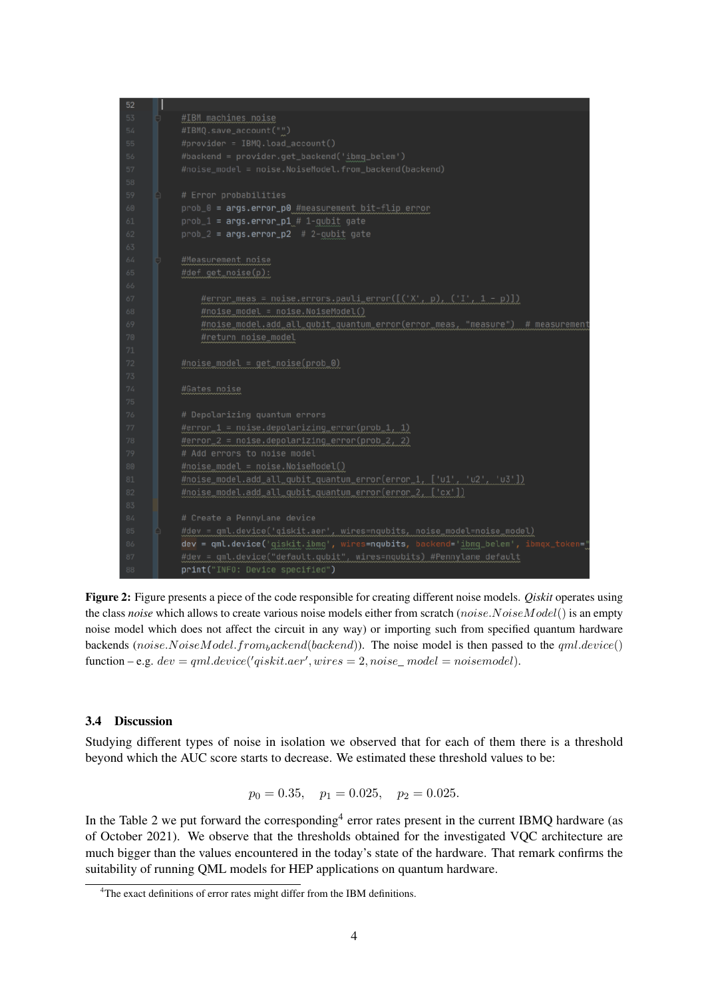

Figure 2: Figure presents a piece of the code responsible for creating different noise models. *Qiskit* operates using the class *noise* which allows to create various noise models either from scratch (noise.NoiseModel() is an empty noise model which does not affect the circuit in any way) or importing such from specified quantum hardware backends (noise.NoiseModel.from<sub>backend</sub>(backend)). The noise model is then passed to the  $aml.device()$ function  $-e.g.$   $dev = qml. device('qiskit. aer', wires = 2, noise\_model = noise model).$ 

#### 3.4 Discussion

Studying different types of noise in isolation we observed that for each of them there is a threshold beyond which the AUC score starts to decrease. We estimated these threshold values to be:

$$
p_0 = 0.35
$$
,  $p_1 = 0.025$ ,  $p_2 = 0.025$ .

In the Table 2 we put forward the corresponding<sup>4</sup> error rates present in the current IBMQ hardware (as of October 2021). We observe that the thresholds obtained for the investigated VQC architecture are much bigger than the values encountered in the today's state of the hardware. That remark confirms the suitability of running QML models for HEP applications on quantum hardware.

<sup>4</sup>The exact definitions of error rates might differ from the IBM definitions.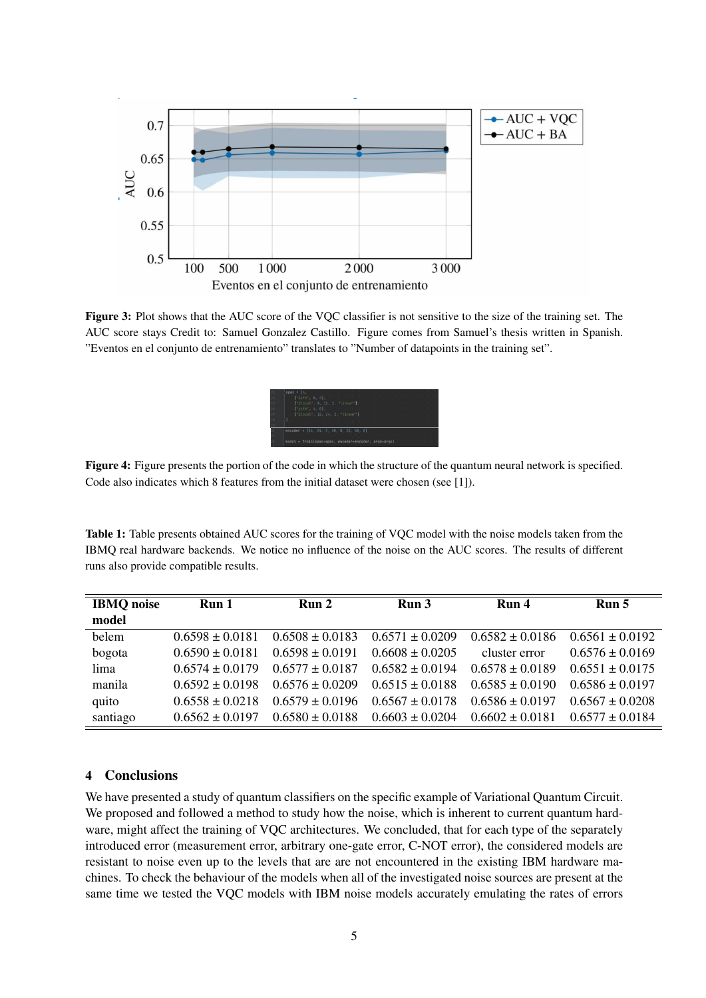

Figure 3: Plot shows that the AUC score of the VQC classifier is not sensitive to the size of the training set. The AUC score stays Credit to: Samuel Gonzalez Castillo. Figure comes from Samuel's thesis written in Spanish. "Eventos en el conjunto de entrenamiento" translates to "Number of datapoints in the training set".



Figure 4: Figure presents the portion of the code in which the structure of the quantum neural network is specified. Code also indicates which 8 features from the initial dataset were chosen (see [1]).

Table 1: Table presents obtained AUC scores for the training of VQC model with the noise models taken from the IBMQ real hardware backends. We notice no influence of the noise on the AUC scores. The results of different runs also provide compatible results.

| <b>IBMQ</b> noise | Run <sub>1</sub>    | Run <sub>2</sub>    | Run <sub>3</sub>    | Run 4               | Run 5               |
|-------------------|---------------------|---------------------|---------------------|---------------------|---------------------|
| model             |                     |                     |                     |                     |                     |
| belem             | $0.6598 + 0.0181$   | $0.6508 \pm 0.0183$ | $0.6571 + 0.0209$   | $0.6582 + 0.0186$   | $0.6561 \pm 0.0192$ |
| bogota            | $0.6590 \pm 0.0181$ | $0.6598 \pm 0.0191$ | $0.6608 + 0.0205$   | cluster error       | $0.6576 \pm 0.0169$ |
| lima              | $0.6574 + 0.0179$   | $0.6577 + 0.0187$   | $0.6582 + 0.0194$   | $0.6578 \pm 0.0189$ | $0.6551 \pm 0.0175$ |
| manila            | $0.6592 + 0.0198$   | $0.6576 + 0.0209$   | $0.6515 \pm 0.0188$ | $0.6585 \pm 0.0190$ | $0.6586 \pm 0.0197$ |
| quito             | $0.6558 \pm 0.0218$ | $0.6579 \pm 0.0196$ | $0.6567 \pm 0.0178$ | $0.6586 \pm 0.0197$ | $0.6567 \pm 0.0208$ |
| santiago          | $0.6562 \pm 0.0197$ | $0.6580 \pm 0.0188$ | $0.6603 \pm 0.0204$ | $0.6602 \pm 0.0181$ | $0.6577 \pm 0.0184$ |

### 4 Conclusions

We have presented a study of quantum classifiers on the specific example of Variational Quantum Circuit. We proposed and followed a method to study how the noise, which is inherent to current quantum hardware, might affect the training of VQC architectures. We concluded, that for each type of the separately introduced error (measurement error, arbitrary one-gate error, C-NOT error), the considered models are resistant to noise even up to the levels that are are not encountered in the existing IBM hardware machines. To check the behaviour of the models when all of the investigated noise sources are present at the same time we tested the VQC models with IBM noise models accurately emulating the rates of errors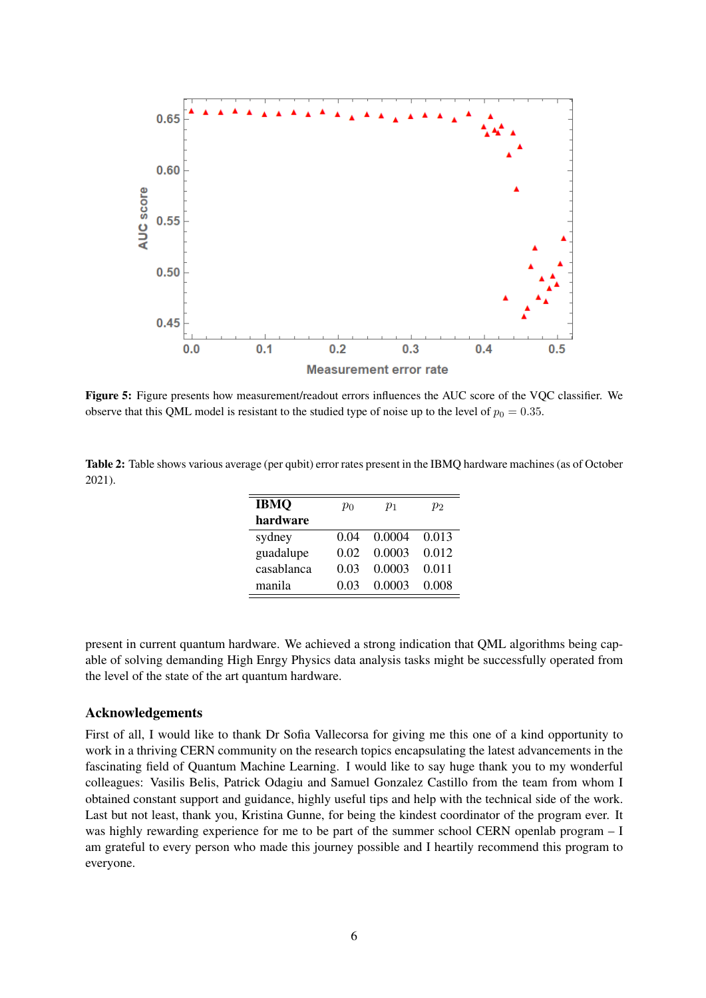

Figure 5: Figure presents how measurement/readout errors influences the AUC score of the VQC classifier. We observe that this QML model is resistant to the studied type of noise up to the level of  $p_0 = 0.35$ .

Table 2: Table shows various average (per qubit) error rates present in the IBMQ hardware machines (as of October 2021).

| <b>IBMQ</b> | $p_0$ | $p_1$  | $p_2$ |
|-------------|-------|--------|-------|
| hardware    |       |        |       |
| sydney      | 0.04  | 0.0004 | 0.013 |
| guadalupe   | 0.02  | 0.0003 | 0.012 |
| casablanca  | 0.03  | 0.0003 | 0.011 |
| manila      | 0.03  | 0.0003 | 0.008 |

present in current quantum hardware. We achieved a strong indication that QML algorithms being capable of solving demanding High Enrgy Physics data analysis tasks might be successfully operated from the level of the state of the art quantum hardware.

### Acknowledgements

First of all, I would like to thank Dr Sofia Vallecorsa for giving me this one of a kind opportunity to work in a thriving CERN community on the research topics encapsulating the latest advancements in the fascinating field of Quantum Machine Learning. I would like to say huge thank you to my wonderful colleagues: Vasilis Belis, Patrick Odagiu and Samuel Gonzalez Castillo from the team from whom I obtained constant support and guidance, highly useful tips and help with the technical side of the work. Last but not least, thank you, Kristina Gunne, for being the kindest coordinator of the program ever. It was highly rewarding experience for me to be part of the summer school CERN openlab program – I am grateful to every person who made this journey possible and I heartily recommend this program to everyone.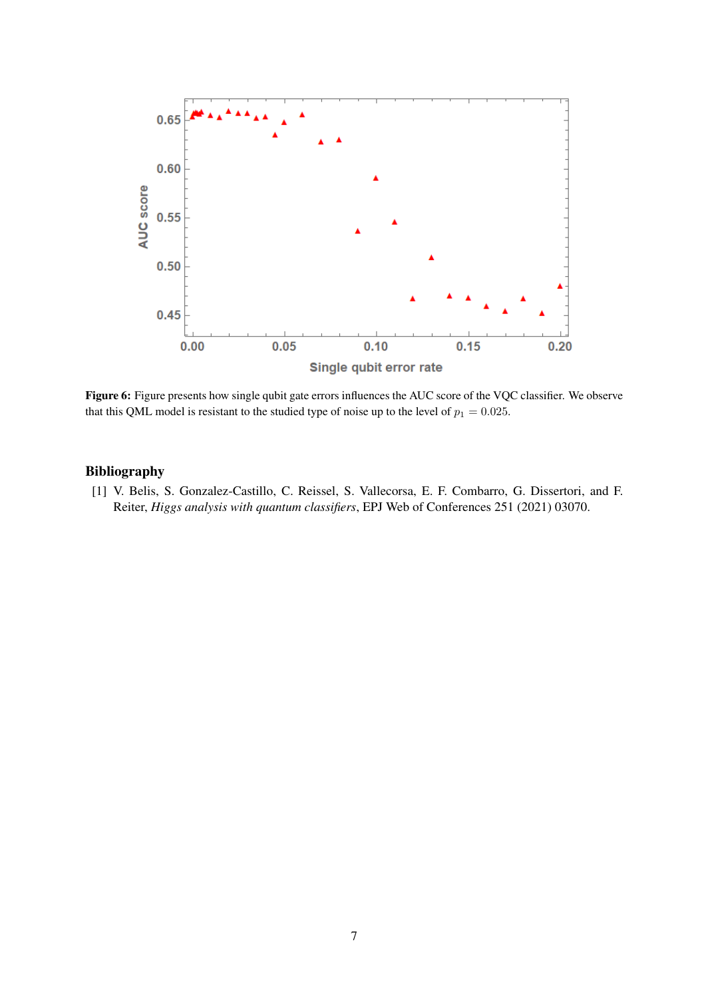

Figure 6: Figure presents how single qubit gate errors influences the AUC score of the VQC classifier. We observe that this QML model is resistant to the studied type of noise up to the level of  $p_1 = 0.025$ .

#### Bibliography

[1] V. Belis, S. Gonzalez-Castillo, C. Reissel, S. Vallecorsa, E. F. Combarro, G. Dissertori, and F. Reiter, *Higgs analysis with quantum classifiers*, EPJ Web of Conferences 251 (2021) 03070.